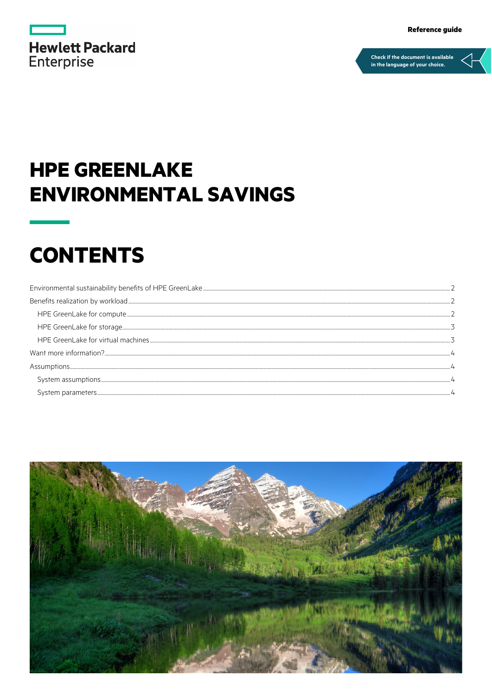|                   | <b>Hewlett Packard</b> |  |
|-------------------|------------------------|--|
| <b>Enterprise</b> |                        |  |

## **HPE GREENLAKE ENVIRONMENTAL SAVINGS**

# **CONTENTS**

| $System assumptions. \\$ |  |
|--------------------------|--|
|                          |  |

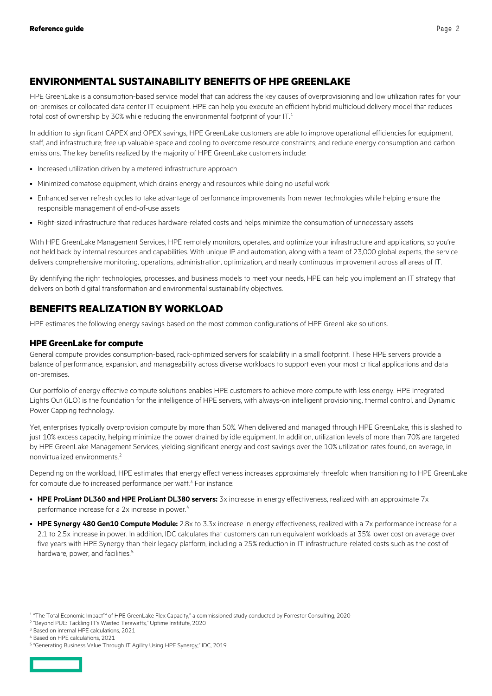## <span id="page-1-0"></span>**ENVIRONMENTAL SUSTAINABILITY BENEFITS OF HPE GREENLAKE**

HPE GreenLake is a consumption-based service model that can address the key causes of overprovisioning and low utilization rates for your on-premises or collocated data center IT equipment. HPE can help you execute an efficient hybrid multicloud delivery model that reduces total cost of ownership by 30% while reducing the environmental footprint of your IT.<sup>[1](#page-1-3)</sup>

In addition to significant CAPEX and OPEX savings, HPE GreenLake customers are able to improve operational efficiencies for equipment, staff, and infrastructure; free up valuable space and cooling to overcome resource constraints; and reduce energy consumption and carbon emissions. The key benefits realized by the majority of HPE GreenLake customers include:

- Increased utilization driven by a metered infrastructure approach
- Minimized comatose equipment, which drains energy and resources while doing no useful work
- Enhanced server refresh cycles to take advantage of performance improvements from newer technologies while helping ensure the responsible management of end-of-use assets
- Right-sized infrastructure that reduces hardware-related costs and helps minimize the consumption of unnecessary assets

With HPE GreenLake Management Services, HPE remotely monitors, operates, and optimize your infrastructure and applications, so you're not held back by internal resources and capabilities. With unique IP and automation, along with a team of 23,000 global experts, the service delivers comprehensive monitoring, operations, administration, optimization, and nearly continuous improvement across all areas of IT.

By identifying the right technologies, processes, and business models to meet your needs, HPE can help you implement an IT strategy that delivers on both digital transformation and environmental sustainability objectives.

## <span id="page-1-1"></span>**BENEFITS REALIZATION BY WORKLOAD**

HPE estimates the following energy savings based on the most common configurations of HPE GreenLake solutions.

## <span id="page-1-2"></span>**HPE GreenLake for compute**

General compute provides consumption-based, rack-optimized servers for scalability in a small footprint. These HPE servers provide a balance of performance, expansion, and manageability across diverse workloads to support even your most critical applications and data on-premises.

Our portfolio of energy effective compute solutions enables HPE customers to achieve more compute with less energy. HPE Integrated Lights Out (iLO) is the foundation for the intelligence of HPE servers, with always-on intelligent provisioning, thermal control, and Dynamic Power Capping technology.

Yet, enterprises typically overprovision compute by more than 50%. When delivered and managed through HPE GreenLake, this is slashed to just 10% excess capacity, helping minimize the power drained by idle equipment. In addition, utilization levels of more than 70% are targeted by HPE GreenLake Management Services, yielding significant energy and cost savings over the 10% utilization rates found, on average, in nonvirtualized environments.[2](#page-1-4)

Depending on the workload, HPE estimates that energy effectiveness increases approximately threefold when transitioning to HPE GreenLake for compute due to increased performance per watt.<sup>[3](#page-1-5)</sup> For instance:

- **HPE ProLiant DL360 and HPE ProLiant DL380 servers:** 3x increase in energy effectiveness, realized with an approximate 7x performance increase for a 2x increase in power.<sup>[4](#page-1-6)</sup>
- HPE Synergy 480 Gen10 Compute Module: 2.8x to 3.3x increase in energy effectiveness, realized with a 7x performance increase for a 2.1 to 2.5x increase in power. In addition, IDC calculates that customers can run equivalent workloads at 35% lower cost on average over five years with HPE Synergy than their legacy platform, including a 25% reduction in IT infrastructure-related costs such as the cost of hardware, power, and facilities.<sup>[5](#page-1-7)</sup>

<span id="page-1-7"></span><span id="page-1-6"></span><sup>5</sup> "Generating Business Value Through IT Agility Using HPE Synergy," IDC, 2019



<span id="page-1-3"></span><sup>1</sup> "The Total Economic Impact™ of HPE GreenLake Flex Capacity," a commissioned study conducted by Forrester Consulting, 2020

<span id="page-1-4"></span><sup>2</sup> "Beyond PUE: Tackling IT's Wasted Terawatts," Uptime Institute, 2020

<span id="page-1-5"></span><sup>&</sup>lt;sup>3</sup> Based on internal HPE calculations, 2021

<sup>4</sup> Based on HPE calculations, 2021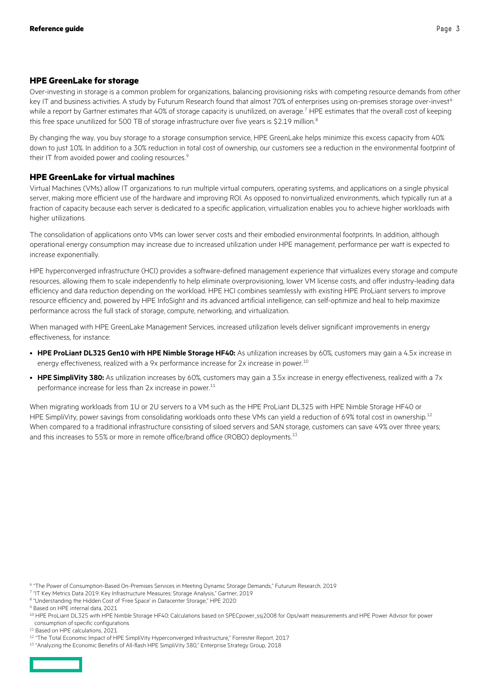## <span id="page-2-0"></span>**HPE GreenLake for storage**

Over-investing in storage is a common problem for organizations, balancing provisioning risks with competing resource demands from other key IT and business activities. A study by Futurum Research found that almost 70% of enterprises using on-premises storage over-invest<sup>[6](#page-2-2)</sup> while a report by Gartner estimates that 40% of storage capacity is unutilized, on average.<sup>[7](#page-2-3)</sup> HPE estimates that the overall cost of keeping this free space unutilized for 500 TB of storage infrastructure over five years is \$2.19 million.<sup>[8](#page-2-4)</sup>

By changing the way, you buy storage to a storage consumption service, HPE GreenLake helps minimize this excess capacity from 40% down to just 10%. In addition to a 30% reduction in total cost of ownership, our customers see a reduction in the environmental footprint of their IT from avoided power and cooling resources.<sup>[9](#page-2-5)</sup>

### <span id="page-2-1"></span>**HPE GreenLake for virtual machines**

Virtual Machines (VMs) allow IT organizations to run multiple virtual computers, operating systems, and applications on a single physical server, making more efficient use of the hardware and improving ROI. As opposed to nonvirtualized environments, which typically run at a fraction of capacity because each server is dedicated to a specific application, virtualization enables you to achieve higher workloads with higher utilizations.

The consolidation of applications onto VMs can lower server costs and their embodied environmental footprints. In addition, although operational energy consumption may increase due to increased utilization under HPE management, performance per watt is expected to increase exponentially.

HPE hyperconverged infrastructure (HCI) provides a software-defined management experience that virtualizes every storage and compute resources, allowing them to scale independently to help eliminate overprovisioning, lower VM license costs, and offer industry-leading data efficiency and data reduction depending on the workload. HPE HCI combines seamlessly with existing HPE ProLiant servers to improve resource efficiency and, powered by HPE InfoSight and its advanced artificial intelligence, can self-optimize and heal to help maximize performance across the full stack of storage, compute, networking, and virtualization.

When managed with HPE GreenLake Management Services, increased utilization levels deliver significant improvements in energy effectiveness, for instance:

- **HPE ProLiant DL325 Gen10 with HPE Nimble Storage HF40:** As utilization increases by 60%, customers may gain a 4.5x increase in energy effectiveness, realized with a 9x performance increase for 2x increase in power.<sup>[10](#page-2-6)</sup>
- **HPE SimpliVity 380:** As utilization increases by 60%, customers may gain a 3.5x increase in energy effectiveness, realized with a 7x performance increase for less than 2x increase in power.<sup>[11](#page-2-7)</sup>

When migrating workloads from 1U or 2U servers to a VM such as the HPE ProLiant DL325 with HPE Nimble Storage HF40 or HPE SimpliVity, power savings from consolidating workloads onto these VMs can yield a reduction of 69% total cost in ownership.<sup>[12](#page-2-8)</sup> When compared to a traditional infrastructure consisting of siloed servers and SAN storage, customers can save 49% over three years; and this increases to 55% or more in remote office/brand office (ROBO) deployments.<sup>[13](#page-2-9)</sup>

<span id="page-2-4"></span><sup>8</sup> "Understanding the Hidden Cost of 'Free Space' in Datacenter Storage," HPE 2020

<span id="page-2-9"></span><span id="page-2-8"></span><sup>&</sup>lt;sup>13</sup> "Analyzing the Economic Benefits of All-flash HPE SimpliVity 380," Enterprise Strategy Group, 2018



<span id="page-2-2"></span><sup>6</sup> "The Power of Consumption-Based On-Premises Services in Meeting Dynamic Storage Demands," Futurum Research, 2019

<span id="page-2-3"></span><sup>7</sup> "IT Key Metrics Data 2019: Key Infrastructure Measures: Storage Analysis," Gartner, 2019

<span id="page-2-5"></span><sup>9</sup> Based on HPE internal data, 2021

<span id="page-2-6"></span><sup>&</sup>lt;sup>10</sup> HPE ProLiant DL325 with HPE Nimble Storage HF40: Calculations based on SPECpower\_ssj2008 for Ops/watt measurements and HPE Power Advisor for power consumption of specific configurations

<span id="page-2-7"></span><sup>11</sup> Based on HPE calculations, 2021

<sup>12 &</sup>quot;The Total Economic Impact of HPE SimpliVity Hyperconverged Infrastructure," Forrester Report, 2017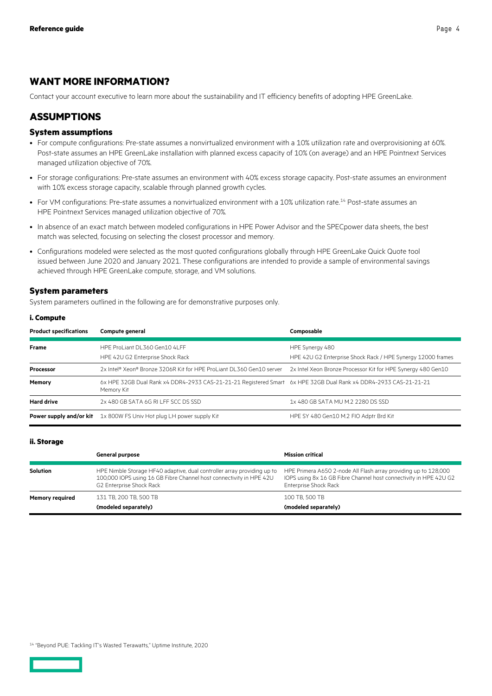## <span id="page-3-0"></span>**WANT MORE INFORMATION?**

Contact your account executive to learn more about the sustainability and IT efficiency benefits of adopting HPE GreenLake.

## <span id="page-3-1"></span>**ASSUMPTIONS**

## <span id="page-3-2"></span>**System assumptions**

- For compute configurations: Pre-state assumes a nonvirtualized environment with a 10% utilization rate and overprovisioning at 60%. Post-state assumes an HPE GreenLake installation with planned excess capacity of 10% (on average) and an HPE Pointnext Services managed utilization objective of 70%.
- For storage configurations: Pre-state assumes an environment with 40% excess storage capacity. Post-state assumes an environment with 10% excess storage capacity, scalable through planned growth cycles.
- For VM configurations: Pre-state assumes a nonvirtualized environment with a 10% utilization rate.<sup>[14](#page-3-4)</sup> Post-state assumes an HPE Pointnext Services managed utilization objective of 70%.
- In absence of an exact match between modeled configurations in HPE Power Advisor and the SPECpower data sheets, the best match was selected, focusing on selecting the closest processor and memory.
- Configurations modeled were selected as the most quoted configurations globally through HPE GreenLake Quick Quote tool issued between June 2020 and January 2021. These configurations are intended to provide a sample of environmental savings achieved through HPE GreenLake compute, storage, and VM solutions.

### <span id="page-3-3"></span>**System parameters**

System parameters outlined in the following are for demonstrative purposes only.

#### **i. Compute**

| <b>Product specifications</b> | Compute general                                                                                                                | Composable                                                                     |
|-------------------------------|--------------------------------------------------------------------------------------------------------------------------------|--------------------------------------------------------------------------------|
| <b>Frame</b>                  | HPE ProLiant DL360 Gen10 4LFF<br>HPE 42U G2 Enterprise Shock Rack                                                              | HPE Synergy 480<br>HPE 42U G2 Enterprise Shock Rack / HPE Synergy 12000 frames |
| Processor                     | 2x Intel® Xeon® Bronze 3206R Kit for HPE ProLiant DL360 Gen10 server                                                           | 2x Intel Xeon Bronze Processor Kit for HPE Synergy 480 Gen10                   |
| Memory                        | 6x HPE 32GB Dual Rank x4 DDR4-2933 CAS-21-21-21 Registered Smart 6x HPE 32GB Dual Rank x4 DDR4-2933 CAS-21-21-21<br>Memory Kit |                                                                                |
| <b>Hard drive</b>             | 2x 480 GB SATA 6G RI LFF SCC DS SSD                                                                                            | 1x 480 GB SATA MU M.2 2280 DS SSD                                              |
|                               | <b>Power supply and/or kit</b> 1x 800W FS Univ Hot plug LH power supply Kit                                                    | HPE SY 480 Gen10 M.2 FIO Adptr Brd Kit                                         |

#### **ii. Storage**

|                        | <b>General purpose</b>                                                                                                                                                     | <b>Mission critical</b>                                                                                                                                              |
|------------------------|----------------------------------------------------------------------------------------------------------------------------------------------------------------------------|----------------------------------------------------------------------------------------------------------------------------------------------------------------------|
| <b>Solution</b>        | HPE Nimble Storage HF40 adaptive, dual controller array providing up to<br>100,000 IOPS using 16 GB Fibre Channel host connectivity in HPE 42U<br>G2 Enterprise Shock Rack | HPE Primera A650 2-node All Flash array providing up to 128,000<br>IOPS using 8x 16 GB Fibre Channel host connectivity in HPE 42U G2<br><b>Enterprise Shock Rack</b> |
| <b>Memory required</b> | 131 TB, 200 TB, 500 TB                                                                                                                                                     | 100 TB, 500 TB                                                                                                                                                       |
|                        | (modeled separately)                                                                                                                                                       | (modeled separately)                                                                                                                                                 |

<span id="page-3-4"></span><sup>14</sup> "Beyond PUE: Tackling IT's Wasted Terawatts," Uptime Institute, 2020